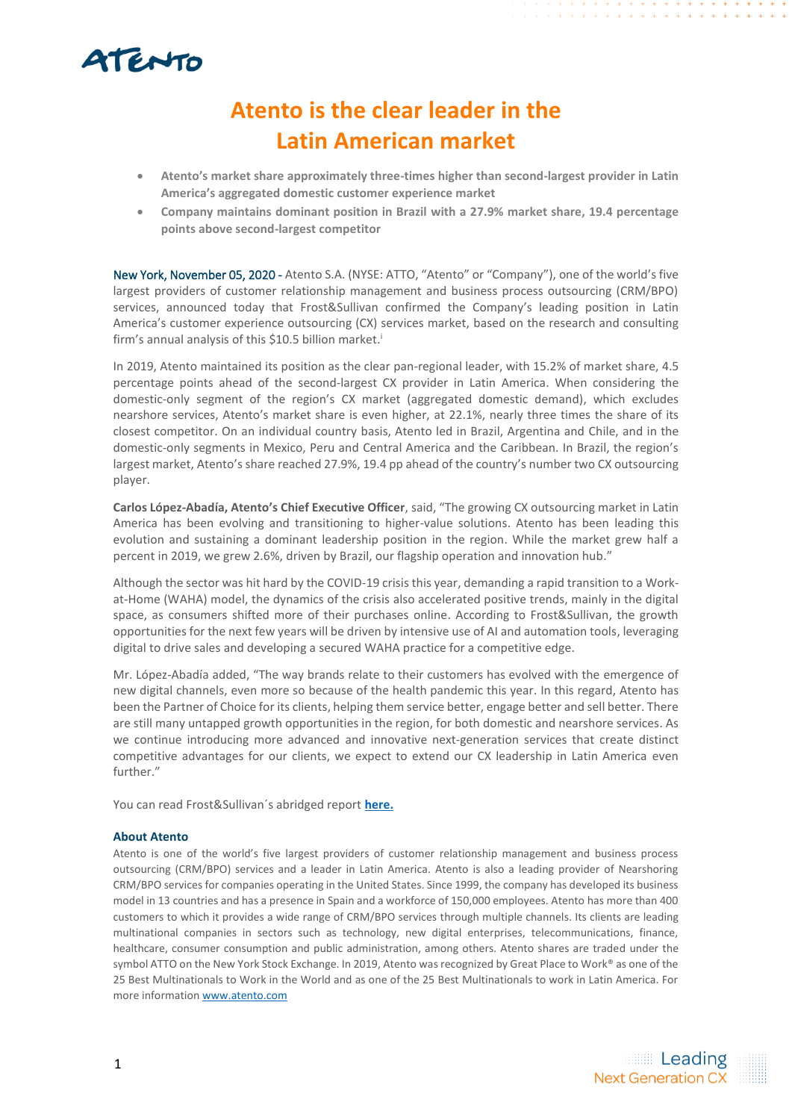# ATENTO

### **Atento is the clear leader in the Latin American market**

- **Atento's market share approximately three-times higher than second-largest provider in Latin America's aggregated domestic customer experience market**
- **Company maintains dominant position in Brazil with a 27.9% market share, 19.4 percentage points above second-largest competitor**

New York, November 05, 2020 - Atento S.A. (NYSE: ATTO, "Atento" or "Company"), one of the world's five largest providers of customer relationship management and business process outsourcing (CRM/BPO) services, announced today that Frost&Sullivan confirmed the Company's leading position in Latin America's customer experience outsourcing (CX) services market, based on the research and consulting firm's annual analysis of this \$10.5 billion market. i

In 2019, Atento maintained its position as the clear pan-regional leader, with 15.2% of market share, 4.5 percentage points ahead of the second-largest CX provider in Latin America. When considering the domestic-only segment of the region's CX market (aggregated domestic demand), which excludes nearshore services, Atento's market share is even higher, at 22.1%, nearly three times the share of its closest competitor. On an individual country basis, Atento led in Brazil, Argentina and Chile, and in the domestic-only segments in Mexico, Peru and Central America and the Caribbean. In Brazil, the region's largest market, Atento's share reached 27.9%, 19.4 pp ahead of the country's number two CX outsourcing player.

**Carlos López-Abadía, Atento's Chief Executive Officer**, said, "The growing CX outsourcing market in Latin America has been evolving and transitioning to higher-value solutions. Atento has been leading this evolution and sustaining a dominant leadership position in the region. While the market grew half a percent in 2019, we grew 2.6%, driven by Brazil, our flagship operation and innovation hub."

Although the sector was hit hard by the COVID-19 crisis this year, demanding a rapid transition to a Workat-Home (WAHA) model, the dynamics of the crisis also accelerated positive trends, mainly in the digital space, as consumers shifted more of their purchases online. According to Frost&Sullivan, the growth opportunities for the next few years will be driven by intensive use of AI and automation tools, leveraging digital to drive sales and developing a secured WAHA practice for a competitive edge.

Mr. López-Abadía added, "The way brands relate to their customers has evolved with the emergence of new digital channels, even more so because of the health pandemic this year. In this regard, Atento has been the Partner of Choice for its clients, helping them service better, engage better and sell better. There are still many untapped growth opportunities in the region, for both domestic and nearshore services. As we continue introducing more advanced and innovative next-generation services that create distinct competitive advantages for our clients, we expect to extend our CX leadership in Latin America even further."

You can read Frost&Sullivan´s abridged report **[here.](https://atento.com/wp-content/uploads/2020/11/FS-Customer-Experience-Outsourcing-in-Latin-America-and-the-Caribbean.pdf)**

#### **About Atento**

Atento is one of the world's five largest providers of customer relationship management and business process outsourcing (CRM/BPO) services and a leader in Latin America. Atento is also a leading provider of Nearshoring CRM/BPO services for companies operating in the United States. Since 1999, the company has developed its business model in 13 countries and has a presence in Spain and a workforce of 150,000 employees. Atento has more than 400 customers to which it provides a wide range of CRM/BPO services through multiple channels. Its clients are leading multinational companies in sectors such as technology, new digital enterprises, telecommunications, finance, healthcare, consumer consumption and public administration, among others. Atento shares are traded under the symbol ATTO on the New York Stock Exchange. In 2019, Atento was recognized by Great Place to Work® as one of the 25 Best Multinationals to Work in the World and as one of the 25 Best Multinationals to work in Latin America. For more information [www.atento.com](http://www.atento.com/)